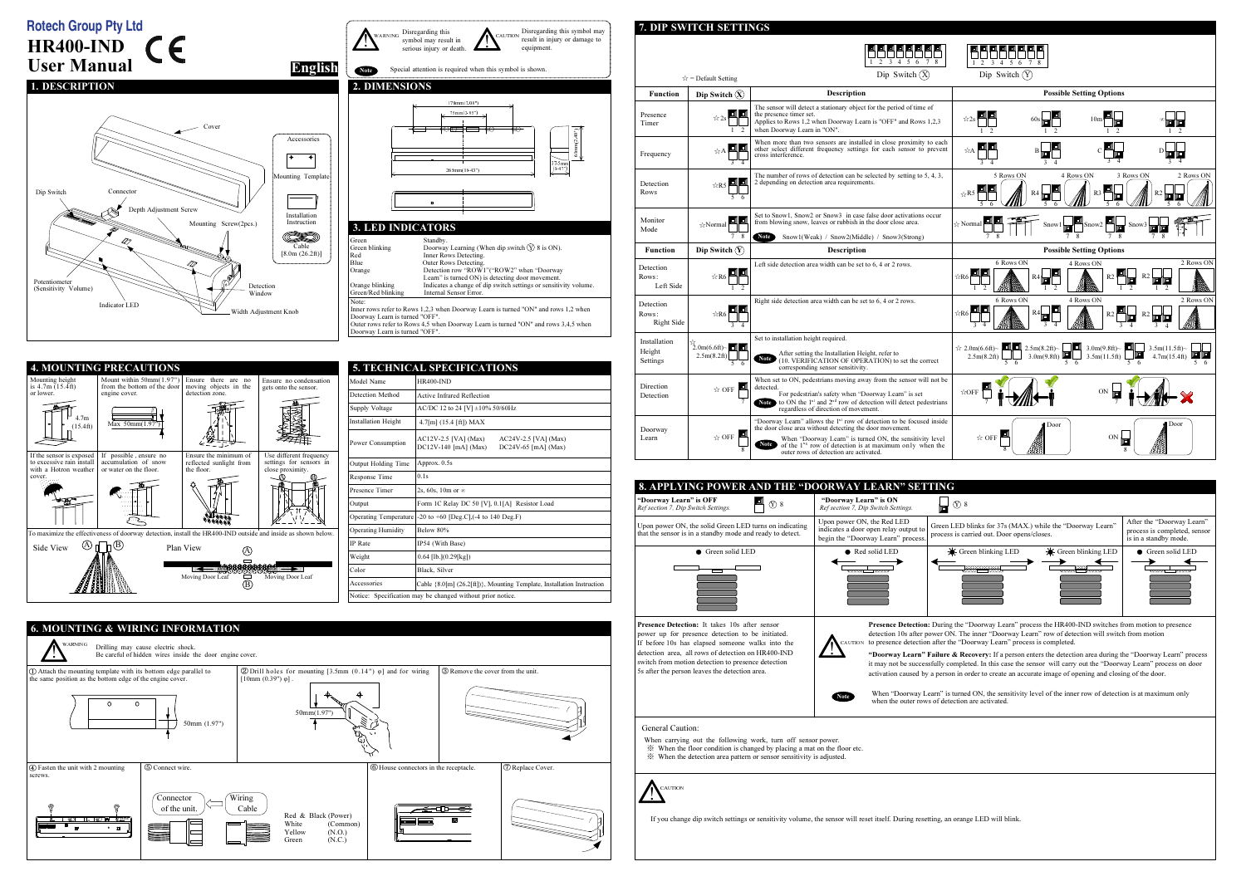7. DIP SWITCH SETTINGS

Disregarding this

W A RNING

## **E E E E E E E E** 1 2 <sup>3</sup> <sup>4</sup> <sup>5</sup> <sup>6</sup> <sup>7</sup> <sup>8</sup> Dip Switch  $\circledR$  $\forall$  = Default Setting FunctionDip Switch  $(\widehat{X})$ DescriptionThe sensor will detect a stationary object for the period of time of<br>the presence timer set.<br>Applies to Rows 1,2 when Doorway Learn is "OFF" and Rows 1,2,3 **EI EI** Presence ☆2s $\mathbb{L}$ Timerwhen Doorway Learn in "ON".1 <sup>2</sup>When more than two sensors are installed in close proximity to each sensor to prevent cher select different frequency settings for each sensor to prevent cross interference.  $\overline{A}$   $\overline{A}$   $\overline{A}$   $\overline{A}$ A Frequency The number of rows of detection can be selected by setting to 5, 4, 3, 2 depending on detection area requirements.Detection $\triangle$ R5 ПГ Rows5 6Set to Snow1, Snow2 or Snow3 in case false door activations occur Monitor from blowing snow, leaves or rubbish in the door close area. ☆Normal ModeNote Snow1(Weak) / Snow2(Middle) / Snow3(Strong)7 8Functionn Dip Switch  $(Y)$  | Description Left side detection area width can be set to 6, 4 or 2 rows.DetectionRows: $\begin{array}{c}\n\hline\n\uparrow \\
\hline\n\downarrow \\
\hline\n\downarrow \\
\hline\n\end{array}$  Left SideRight side detection area width can be set to 6, 4 or 2 rows.DetectionRows:☆R6 Right Side3 4Set to installation height required.Installation $\bigcirc_{2.0m(6.6ft)-2.5m(8.2ft)}^{\infty}$ Height $\frac{1}{5}$  (10. VERIFICATION OF OPERATION) to set the correct Settings5 6corresponding sensor sensitivity.When set to ON, pedestrians moving away from the sensor will not be **Direction** detected. For pedestrian's safety when "Doorway Learn" is set ☆ OFF DetectionNote to ON the  $1<sup>st</sup>$  and  $2<sup>nd</sup>$  row of detection will detect pedestrians regardless of direction of movement. 7"Doorway Learn" allows the 1<sup>st</sup> row of detection to be focused inside the door close area without detecting the door movement. Doorway Learn  $\triangle$  OFF Note of the "Doorway Learn" is turned ON, the sensitivity level of the 1<sup>1</sup> row of detection is at maximum only when the outer rows of detection are activated. 8





| <b>5. TECHNICAL SPECIFICATIONS</b> |                                                                                                     |  |  |  |
|------------------------------------|-----------------------------------------------------------------------------------------------------|--|--|--|
| Model Name                         | <b>HR400-IND</b>                                                                                    |  |  |  |
| Detection Method                   | Active Infrared Reflection                                                                          |  |  |  |
| Supply Voltage                     | AC/DC 12 to 24 [V] $\pm 10\%$ 50/60Hz                                                               |  |  |  |
| <b>Installation Height</b>         | $4.7$ [m] $(15.4$ [ft]) MAX                                                                         |  |  |  |
| Power Consumption                  | $AC12V-2.5$ [VA] $(Max)$<br>AC24V-2.5 [VA] (Max)<br>$DC12V-140$ [mA] (Max)<br>DC24V-65 $[mA]$ (Max) |  |  |  |
| Output Holding Time                | Approx. 0.5s                                                                                        |  |  |  |
| Response Time                      | 0.1s                                                                                                |  |  |  |
| Presence Timer                     | 2s, 60s, 10m or $\infty$                                                                            |  |  |  |
| Output                             | Form 1C Relay DC 50 [V], 0.1[A] Resistor Load                                                       |  |  |  |
| Operating Temperature              | $-20$ to $+60$ [Deg.C], $(-4$ to 140 Deg.F)                                                         |  |  |  |
| <b>Operating Humidity</b>          | Below 80%                                                                                           |  |  |  |
| <b>IP</b> Rate                     | IP54 (With Base)                                                                                    |  |  |  |
| Weight                             | $0.64$ [lb.] $(0.29$ [kg])                                                                          |  |  |  |
| Color                              | Black, Silver                                                                                       |  |  |  |
| Accessories                        | Cable ${8.0[m] (26.2[ft])}$ , Mounting Template, Installation Instruction                           |  |  |  |
|                                    | Notice: Specification may be changed without prior notice.                                          |  |  |  |





UTIO N

!



ON. The inner "Doorway Learn" row of detection will switch from motion the "Doorway Learn" process is completed.

re & Recovery: If a person enters the detection area during the "Doorway Learn" process completed. In this case the sensor will carry out the "Doorway Learn" process on door rson in order to create an accurate image of opening and closing of the door.

is turned ON, the sensitivity level of the inner row of detection is at maximum only



| "Doorway Learn" is OFF<br>$\textcircled{r}$ 8<br>Ref section 7, Dip Switch Settings.                                                                                                                                                                                                                                       | "Doorway Learn" is ON<br>$\circledR$ 8<br>Ref section 7, Dip Switch Settings.                                                                                                                                                                                                                                                                                                                                                          |
|----------------------------------------------------------------------------------------------------------------------------------------------------------------------------------------------------------------------------------------------------------------------------------------------------------------------------|----------------------------------------------------------------------------------------------------------------------------------------------------------------------------------------------------------------------------------------------------------------------------------------------------------------------------------------------------------------------------------------------------------------------------------------|
| Upon power ON, the solid Green LED turns on indicating<br>that the sensor is in a standby mode and ready to detect.                                                                                                                                                                                                        | Upon power ON, the Red LED<br>Green LED blinks for 37s<br>indicates a door open relay output to<br>process is carried out. Doo<br>begin the "Doorway Learn" process.                                                                                                                                                                                                                                                                   |
| Green solid LED                                                                                                                                                                                                                                                                                                            | Green blinking I<br>Red solid LED                                                                                                                                                                                                                                                                                                                                                                                                      |
| <b>Presence Detection:</b> It takes 10s after sensor<br>power up for presence detection to be initiated.<br>If before 10s has elapsed someone walks into the<br>detection area, all rows of detection on HR400-IND<br>switch from motion detection to presence detection<br>5s after the person leaves the detection area. | Presence Detection: During the "Doorway Lea<br>detection 10s after power ON. The inner "Door<br><b>CAUTION</b><br>to presence detection after the "Doorway Learn<br>"Doorway Learn" Failure & Recovery: If a p<br>it may not be successfully completed. In this ca<br>activation caused by a person in order to create<br>When "Doorway Learn" is turned ON, the sen<br><b>Note</b><br>when the outer rows of detection are activated. |
| General Caution:<br>When carrying out the following work, turn off sensor power.<br>When the floor condition is changed by placing a mat on the floor etc.<br>* When the detection area pattern or sensor sensitivity is adjusted.<br><b>AUTION</b>                                                                        |                                                                                                                                                                                                                                                                                                                                                                                                                                        |

If you change dip switch settings or sensitivity volume, the sensor will reset itself. During resetting, an orange LED will blink.